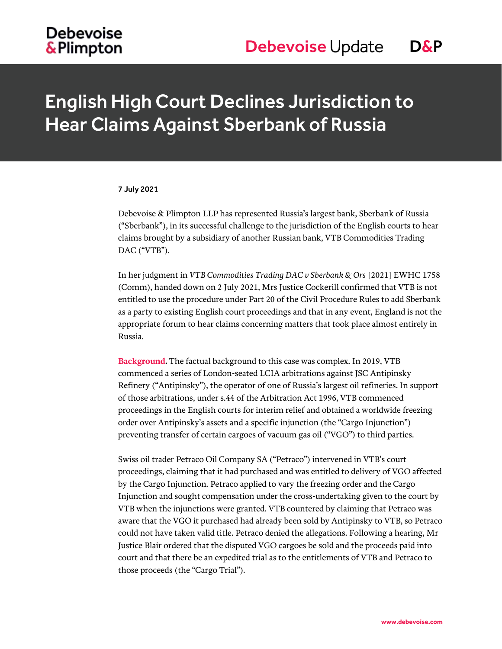# English High Court Declines Jurisdiction to Hear Claims Against Sberbank of Russia

#### 7 July 2021

Debevoise & Plimpton LLP has represented Russia's largest bank, Sberbank of Russia ("Sberbank"), in its successful challenge to the jurisdiction of the English courts to hear claims brought by a subsidiary of another Russian bank, VTB Commodities Trading DAC ("VTB").

In her judgment in *VTB Commodities Trading DAC v Sberbank & Ors* [2021] EWHC 1758 (Comm), handed down on 2 July 2021, Mrs Justice Cockerill confirmed that VTB is not entitled to use the procedure under Part 20 of the Civil Procedure Rules to add Sberbank as a party to existing English court proceedings and that in any event, England is not the appropriate forum to hear claims concerning matters that took place almost entirely in Russia.

**Background.** The factual background to this case was complex. In 2019, VTB commenced a series of London-seated LCIA arbitrations against JSC Antipinsky Refinery ("Antipinsky"), the operator of one of Russia's largest oil refineries. In support of those arbitrations, under s.44 of the Arbitration Act 1996, VTB commenced proceedings in the English courts for interim relief and obtained a worldwide freezing order over Antipinsky's assets and a specific injunction (the "Cargo Injunction") preventing transfer of certain cargoes of vacuum gas oil ("VGO") to third parties.

Swiss oil trader Petraco Oil Company SA ("Petraco") intervened in VTB's court proceedings, claiming that it had purchased and was entitled to delivery of VGO affected by the Cargo Injunction. Petraco applied to vary the freezing order and the Cargo Injunction and sought compensation under the cross-undertaking given to the court by VTB when the injunctions were granted. VTB countered by claiming that Petraco was aware that the VGO it purchased had already been sold by Antipinsky to VTB, so Petraco could not have taken valid title. Petraco denied the allegations. Following a hearing, Mr Justice Blair ordered that the disputed VGO cargoes be sold and the proceeds paid into court and that there be an expedited trial as to the entitlements of VTB and Petraco to those proceeds (the "Cargo Trial").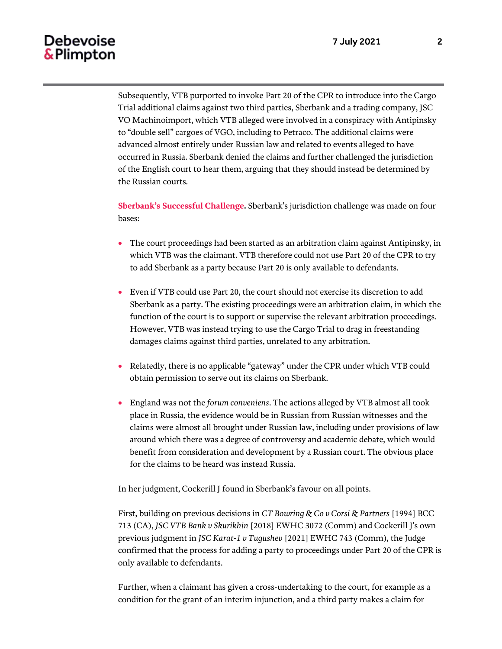### Debevoise & Plimpton

Subsequently, VTB purported to invoke Part 20 of the CPR to introduce into the Cargo Trial additional claims against two third parties, Sberbank and a trading company, JSC VO Machinoimport, which VTB alleged were involved in a conspiracy with Antipinsky to "double sell" cargoes of VGO, including to Petraco. The additional claims were advanced almost entirely under Russian law and related to events alleged to have occurred in Russia. Sberbank denied the claims and further challenged the jurisdiction of the English court to hear them, arguing that they should instead be determined by the Russian courts.

**Sberbank's Successful Challenge.** Sberbank's jurisdiction challenge was made on four bases:

- The court proceedings had been started as an arbitration claim against Antipinsky, in which VTB was the claimant. VTB therefore could not use Part 20 of the CPR to try to add Sberbank as a party because Part 20 is only available to defendants.
- Even if VTB could use Part 20, the court should not exercise its discretion to add Sberbank as a party. The existing proceedings were an arbitration claim, in which the function of the court is to support or supervise the relevant arbitration proceedings. However, VTB was instead trying to use the Cargo Trial to drag in freestanding damages claims against third parties, unrelated to any arbitration.
- Relatedly, there is no applicable "gateway" under the CPR under which VTB could obtain permission to serve out its claims on Sberbank.
- England was not the *forum conveniens*. The actions alleged by VTB almost all took place in Russia, the evidence would be in Russian from Russian witnesses and the claims were almost all brought under Russian law, including under provisions of law around which there was a degree of controversy and academic debate, which would benefit from consideration and development by a Russian court. The obvious place for the claims to be heard was instead Russia.

In her judgment, Cockerill J found in Sberbank's favour on all points.

First, building on previous decisions in *CT Bowring & Co v Corsi & Partners* [1994] BCC 713 (CA), *JSC VTB Bank v Skurikhin* [2018] EWHC 3072 (Comm) and Cockerill J's own previous judgment in *JSC Karat-1 v Tugushev* [2021] EWHC 743 (Comm), the Judge confirmed that the process for adding a party to proceedings under Part 20 of the CPR is only available to defendants.

Further, when a claimant has given a cross-undertaking to the court, for example as a condition for the grant of an interim injunction, and a third party makes a claim for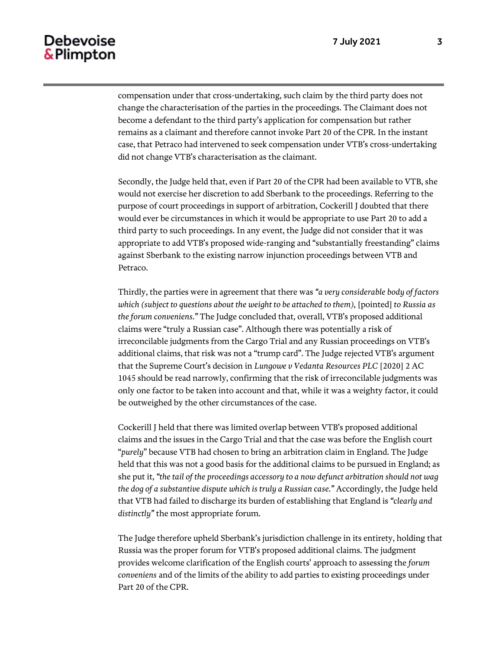### Debevoise & Plimpton

compensation under that cross-undertaking, such claim by the third party does not change the characterisation of the parties in the proceedings. The Claimant does not become a defendant to the third party's application for compensation but rather remains as a claimant and therefore cannot invoke Part 20 of the CPR. In the instant case, that Petraco had intervened to seek compensation under VTB's cross-undertaking did not change VTB's characterisation as the claimant.

Secondly, the Judge held that, even if Part 20 of the CPR had been available to VTB, she would not exercise her discretion to add Sberbank to the proceedings. Referring to the purpose of court proceedings in support of arbitration, Cockerill J doubted that there would ever be circumstances in which it would be appropriate to use Part 20 to add a third party to such proceedings. In any event, the Judge did not consider that it was appropriate to add VTB's proposed wide-ranging and "substantially freestanding" claims against Sberbank to the existing narrow injunction proceedings between VTB and Petraco.

Thirdly, the parties were in agreement that there was *"a very considerable body of factors which (subject to questions about the weight to be attached to them), [pointed] to Russia as the forum conveniens."* The Judge concluded that, overall, VTB's proposed additional claims were "truly a Russian case". Although there was potentially a risk of irreconcilable judgments from the Cargo Trial and any Russian proceedings on VTB's additional claims, that risk was not a "trump card". The Judge rejected VTB's argument that the Supreme Court's decision in *Lungowe v Vedanta Resources PLC* [2020] 2 AC 1045 should be read narrowly, confirming that the risk of irreconcilable judgments was only one factor to be taken into account and that, while it was a weighty factor, it could be outweighed by the other circumstances of the case.

Cockerill J held that there was limited overlap between VTB's proposed additional claims and the issues in the Cargo Trial and that the case was before the English court "*purely*" because VTB had chosen to bring an arbitration claim in England. The Judge held that this was not a good basis for the additional claims to be pursued in England; as she put it, *"the tail of the proceedings accessory to a now defunct arbitration should not wag the dog of a substantive dispute which is truly a Russian case."* Accordingly, the Judge held that VTB had failed to discharge its burden of establishing that England is *"clearly and distinctly"* the most appropriate forum.

The Judge therefore upheld Sberbank's jurisdiction challenge in its entirety, holding that Russia was the proper forum for VTB's proposed additional claims. The judgment provides welcome clarification of the English courts' approach to assessing the *forum conveniens* and of the limits of the ability to add parties to existing proceedings under Part 20 of the CPR.